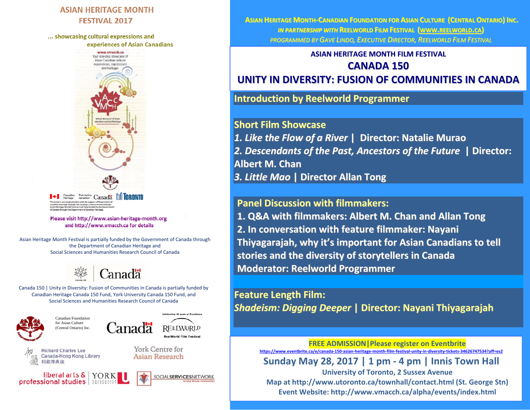### **ASIAN HERITAGE MONTH FESTIVAL 2017**

... showcasing cultural expressions and experiences of Asian Canadians



ade possible wit<mark>h t</mark>he support of Departmen<br>: through the Canadian Culture Online Strate .<br>Noral is marrially function for the uch the Department of Canadian Heri

Please visit http://www.asian-heritage-month.org and http://www.vmacch.ca for details

Asian Heritage Month Festival is partially funded by the Government of Canada through the Department of Canadian Heritage and Social Sciences and Humanities Research Council of Canada



Canada 150 | Unity in Diversity: Fusion of Communities in Canada is partially funded by Canadian Heritage Canada 150 Fund, York University Canada 150 Fund, and Social Sciences and Humanities Research Council of Canada

**Celebrating 10 years of Excellence** 

**REELWORLD ReelWorld Film Festiva** 

SOCIALSERVICESNETWORK

York Centre for

Asian Research



Canadian Foundation for Asian Culture (Central Ontario) Inc.



**Canada-Hong Kong Library** 



Canadä

**ASIAN HERITAGE MONTH‐CANADIAN FOUNDATION FOR ASIAN CULTURE (CENTRAL ONTARIO) INC.** *IN PARTNERSHIP WITH* **REELWORLD FILM FESTIVAL (WWW.REELWORLD.CA)** *PROGRAMMED BY GAVE LINDO, EXECUTIVE DIRECTOR, REELWORLD FILM FESTIVAL*

> **ASIAN HERITAGE MONTH FILM FESTIVAL CANADA 150**

**UNITY IN DIVERSITY: FUSION OF COMMUNITIES IN CANADA**

**Introduction by Reelworld Programmer**

**Short Film Showcase** *1. Like the Flow of <sup>a</sup> River* **| Director: Natalie Murao** *2. Descendants of the Past, Ancestors of the Future* **| Director: Albert M. Chan** *3. Little Mao* **| Director Allan Tong**

## **Panel Discussion with filmmakers:**

**1. Q&A with filmmakers: Albert M. Chan and Allan Tong 2. In conversation with feature filmmaker: Nayani Thiyagarajah, why it's important for Asian Canadians to tell stories and the diversity of storytellers in Canada Moderator: Reelworld Programmer**

**Feature Length Film:** *Shadeism: Digging Deeper* **| Director: Nayani Thiyagarajah**

> **FREE ADMISSION|Please register on Eventbrite** https://www.eventbrite.ca/e/canada-150-asian-heritage-month-film-festival-unity-in-diversity-tickets-34626747534?aff=es2

**Sunday May 28, 2017 | 1 pm ‐ 4 pm | Innis Town Hall**

**University of Toronto, 2 Sussex Avenue Map at http://www.utoronto.ca/townhall/contact.html (St. George Stn) Event Website: http://www.vmacch.ca/alpha/events/index.html**